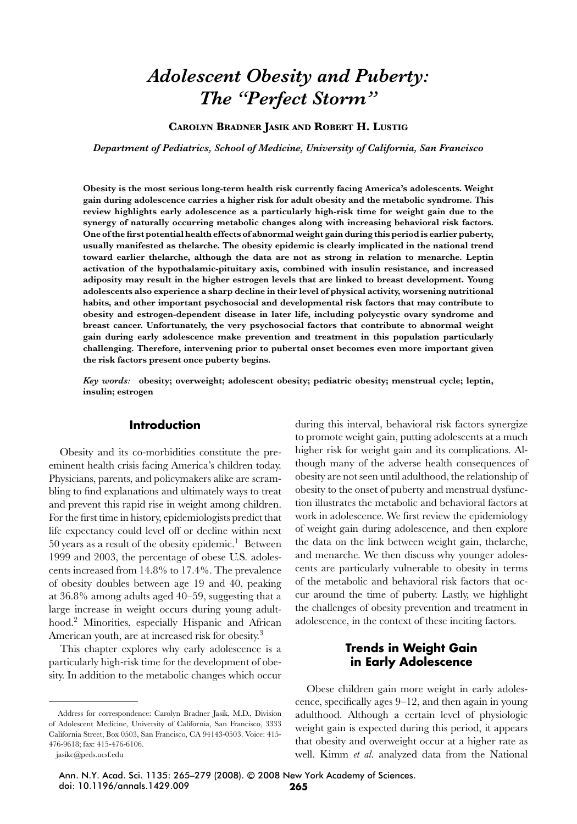# *Adolescent Obesity and Puberty: The "Perfect Storm"*

## **CAROLYN BRADNER JASIK AND ROBERT H. LUSTIG**

*Department of Pediatrics, School of Medicine, University of California, San Francisco*

**Obesity is the most serious long-term health risk currently facing America's adolescents. Weight gain during adolescence carries a higher risk for adult obesity and the metabolic syndrome. This review highlights early adolescence as a particularly high-risk time for weight gain due to the synergy of naturally occurring metabolic changes along with increasing behavioral risk factors. One of the first potential health effects of abnormal weight gain during this period is earlier puberty, usually manifested as thelarche. The obesity epidemic is clearly implicated in the national trend toward earlier thelarche, although the data are not as strong in relation to menarche. Leptin activation of the hypothalamic-pituitary axis, combined with insulin resistance, and increased adiposity may result in the higher estrogen levels that are linked to breast development. Young adolescents also experience a sharp decline in their level of physical activity, worsening nutritional habits, and other important psychosocial and developmental risk factors that may contribute to obesity and estrogen-dependent disease in later life, including polycystic ovary syndrome and breast cancer. Unfortunately, the very psychosocial factors that contribute to abnormal weight gain during early adolescence make prevention and treatment in this population particularly challenging. Therefore, intervening prior to pubertal onset becomes even more important given the risk factors present once puberty begins.**

*Key words:* **obesity; overweight; adolescent obesity; pediatric obesity; menstrual cycle; leptin, insulin; estrogen**

# **Introduction**

Obesity and its co-morbidities constitute the preeminent health crisis facing America's children today. Physicians, parents, and policymakers alike are scrambling to find explanations and ultimately ways to treat and prevent this rapid rise in weight among children. For the first time in history, epidemiologists predict that life expectancy could level off or decline within next  $50$  years as a result of the obesity epidemic.<sup>1</sup> Between 1999 and 2003, the percentage of obese U.S. adolescents increased from 14.8% to 17.4%. The prevalence of obesity doubles between age 19 and 40, peaking at 36.8% among adults aged 40–59, suggesting that a large increase in weight occurs during young adulthood.<sup>2</sup> Minorities, especially Hispanic and African American youth, are at increased risk for obesity.<sup>3</sup>

This chapter explores why early adolescence is a particularly high-risk time for the development of obesity. In addition to the metabolic changes which occur during this interval, behavioral risk factors synergize to promote weight gain, putting adolescents at a much higher risk for weight gain and its complications. Although many of the adverse health consequences of obesity are not seen until adulthood, the relationship of obesity to the onset of puberty and menstrual dysfunction illustrates the metabolic and behavioral factors at work in adolescence. We first review the epidemiology of weight gain during adolescence, and then explore the data on the link between weight gain, thelarche, and menarche. We then discuss why younger adolescents are particularly vulnerable to obesity in terms of the metabolic and behavioral risk factors that occur around the time of puberty. Lastly, we highlight the challenges of obesity prevention and treatment in adolescence, in the context of these inciting factors.

## **Trends in Weight Gain in Early Adolescence**

Obese children gain more weight in early adolescence, specifically ages 9–12, and then again in young adulthood. Although a certain level of physiologic weight gain is expected during this period, it appears that obesity and overweight occur at a higher rate as well. Kimm *et al.* analyzed data from the National

Ann. N.Y. Acad. Sci. 1135: 265–279 (2008). © 2008 New York Academy of Sciences. doi: 10.1196/annals.1429.009 **265**

Address for correspondence: Carolyn Bradner Jasik, M.D., Division of Adolescent Medicine, University of California, San Francisco, 3333 California Street, Box 0503, San Francisco, CA 94143-0503. Voice: 415- 476-9618; fax: 415-476-6106.

jasikc@peds.ucsf.edu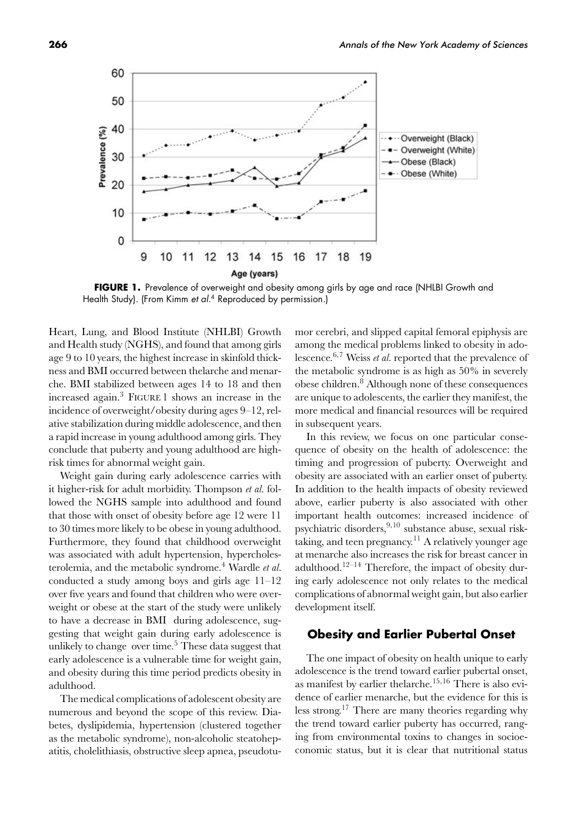

**FIGURE 1.** Prevalence of overweight and obesity among girls by age and race (NHLBI Growth and Health Study). (From Kimm et al.<sup>4</sup> Reproduced by permission.)

Heart, Lung, and Blood Institute (NHLBI) Growth and Health study (NGHS), and found that among girls age 9 to 10 years, the highest increase in skinfold thickness and BMI occurred between thelarche and menarche. BMI stabilized between ages 14 to 18 and then increased again.3 FIGURE 1 shows an increase in the incidence of overweight/obesity during ages 9–12, relative stabilization during middle adolescence, and then a rapid increase in young adulthood among girls. They conclude that puberty and young adulthood are highrisk times for abnormal weight gain.

Weight gain during early adolescence carries with it higher-risk for adult morbidity. Thompson *et al.* followed the NGHS sample into adulthood and found that those with onset of obesity before age 12 were 11 to 30 times more likely to be obese in young adulthood. Furthermore, they found that childhood overweight was associated with adult hypertension, hypercholesterolemia, and the metabolic syndrome.<sup>4</sup> Wardle *et al.* conducted a study among boys and girls age 11–12 over five years and found that children who were overweight or obese at the start of the study were unlikely to have a decrease in BMI during adolescence, suggesting that weight gain during early adolescence is unlikely to change over time. $5$  These data suggest that early adolescence is a vulnerable time for weight gain, and obesity during this time period predicts obesity in adulthood.

The medical complications of adolescent obesity are numerous and beyond the scope of this review. Diabetes, dyslipidemia, hypertension (clustered together as the metabolic syndrome), non-alcoholic steatohepatitis, cholelithiasis, obstructive sleep apnea, pseudotumor cerebri, and slipped capital femoral epiphysis are among the medical problems linked to obesity in adolescence.6*,*<sup>7</sup> Weiss *et al.* reported that the prevalence of the metabolic syndrome is as high as 50% in severely obese children.<sup>8</sup> Although none of these consequences are unique to adolescents, the earlier they manifest, the more medical and financial resources will be required in subsequent years.

In this review, we focus on one particular consequence of obesity on the health of adolescence: the timing and progression of puberty. Overweight and obesity are associated with an earlier onset of puberty. In addition to the health impacts of obesity reviewed above, earlier puberty is also associated with other important health outcomes: increased incidence of psychiatric disorders,9*,*<sup>10</sup> substance abuse, sexual risktaking, and teen pregnancy.<sup>11</sup> A relatively younger age at menarche also increases the risk for breast cancer in adulthood.<sup>12–14</sup> Therefore, the impact of obesity during early adolescence not only relates to the medical complications of abnormal weight gain, but also earlier development itself.

## **Obesity and Earlier Pubertal Onset**

The one impact of obesity on health unique to early adolescence is the trend toward earlier pubertal onset, as manifest by earlier thelarche.<sup>15</sup>*,*<sup>16</sup> There is also evidence of earlier menarche, but the evidence for this is less strong.<sup>17</sup> There are many theories regarding why the trend toward earlier puberty has occurred, ranging from environmental toxins to changes in socioeconomic status, but it is clear that nutritional status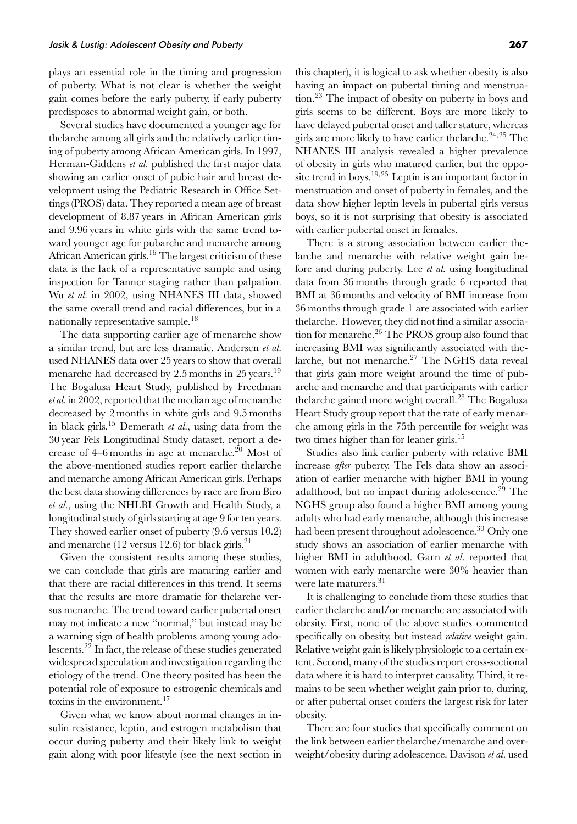plays an essential role in the timing and progression of puberty. What is not clear is whether the weight gain comes before the early puberty, if early puberty predisposes to abnormal weight gain, or both.

Several studies have documented a younger age for thelarche among all girls and the relatively earlier timing of puberty among African American girls. In 1997, Herman-Giddens *et al.* published the first major data showing an earlier onset of pubic hair and breast development using the Pediatric Research in Office Settings (PROS) data. They reported a mean age of breast development of 8.87 years in African American girls and 9.96 years in white girls with the same trend toward younger age for pubarche and menarche among African American girls.<sup>16</sup> The largest criticism of these data is the lack of a representative sample and using inspection for Tanner staging rather than palpation. Wu *et al.* in 2002, using NHANES III data, showed the same overall trend and racial differences, but in a nationally representative sample.<sup>18</sup>

The data supporting earlier age of menarche show a similar trend, but are less dramatic. Andersen *et al.* used NHANES data over 25 years to show that overall menarche had decreased by 2.5 months in 25 years.<sup>19</sup> The Bogalusa Heart Study, published by Freedman *et al.* in 2002, reported that the median age of menarche decreased by 2 months in white girls and 9.5 months in black girls.<sup>15</sup> Demerath *et al.*, using data from the 30 year Fels Longitudinal Study dataset, report a decrease of  $4-6$  months in age at menarche.<sup>20</sup> Most of the above-mentioned studies report earlier thelarche and menarche among African American girls. Perhaps the best data showing differences by race are from Biro *et al.*, using the NHLBI Growth and Health Study, a longitudinal study of girls starting at age 9 for ten years. They showed earlier onset of puberty (9.6 versus 10.2) and menarche (12 versus 12.6) for black girls. $^{21}$ 

Given the consistent results among these studies, we can conclude that girls are maturing earlier and that there are racial differences in this trend. It seems that the results are more dramatic for thelarche versus menarche. The trend toward earlier pubertal onset may not indicate a new "normal," but instead may be a warning sign of health problems among young adolescents.<sup>22</sup> In fact, the release of these studies generated widespread speculation and investigation regarding the etiology of the trend. One theory posited has been the potential role of exposure to estrogenic chemicals and toxins in the environment.<sup>17</sup>

Given what we know about normal changes in insulin resistance, leptin, and estrogen metabolism that occur during puberty and their likely link to weight gain along with poor lifestyle (see the next section in this chapter), it is logical to ask whether obesity is also having an impact on pubertal timing and menstruation.<sup>23</sup> The impact of obesity on puberty in boys and girls seems to be different. Boys are more likely to have delayed pubertal onset and taller stature, whereas girls are more likely to have earlier thelarche.<sup>24</sup>*,*<sup>25</sup> The NHANES III analysis revealed a higher prevalence of obesity in girls who matured earlier, but the opposite trend in boys.<sup>19</sup>*,*<sup>25</sup> Leptin is an important factor in menstruation and onset of puberty in females, and the data show higher leptin levels in pubertal girls versus boys, so it is not surprising that obesity is associated with earlier pubertal onset in females.

There is a strong association between earlier thelarche and menarche with relative weight gain before and during puberty. Lee *et al.* using longitudinal data from 36 months through grade 6 reported that BMI at 36 months and velocity of BMI increase from 36 months through grade 1 are associated with earlier thelarche. However, they did not find a similar association for menarche.<sup>26</sup> The PROS group also found that increasing BMI was significantly associated with thelarche, but not menarche.<sup>27</sup> The NGHS data reveal that girls gain more weight around the time of pubarche and menarche and that participants with earlier thelarche gained more weight overall.<sup>28</sup> The Bogalusa Heart Study group report that the rate of early menarche among girls in the 75th percentile for weight was two times higher than for leaner girls.<sup>15</sup>

Studies also link earlier puberty with relative BMI increase *after* puberty. The Fels data show an association of earlier menarche with higher BMI in young adulthood, but no impact during adolescence.<sup>29</sup> The NGHS group also found a higher BMI among young adults who had early menarche, although this increase had been present throughout adolescence.<sup>30</sup> Only one study shows an association of earlier menarche with higher BMI in adulthood. Garn *et al.* reported that women with early menarche were 30% heavier than were late maturers.<sup>31</sup>

It is challenging to conclude from these studies that earlier thelarche and/or menarche are associated with obesity. First, none of the above studies commented specifically on obesity, but instead *relative* weight gain. Relative weight gain is likely physiologic to a certain extent. Second, many of the studies report cross-sectional data where it is hard to interpret causality. Third, it remains to be seen whether weight gain prior to, during, or after pubertal onset confers the largest risk for later obesity.

There are four studies that specifically comment on the link between earlier thelarche/menarche and overweight/obesity during adolescence. Davison *et al.* used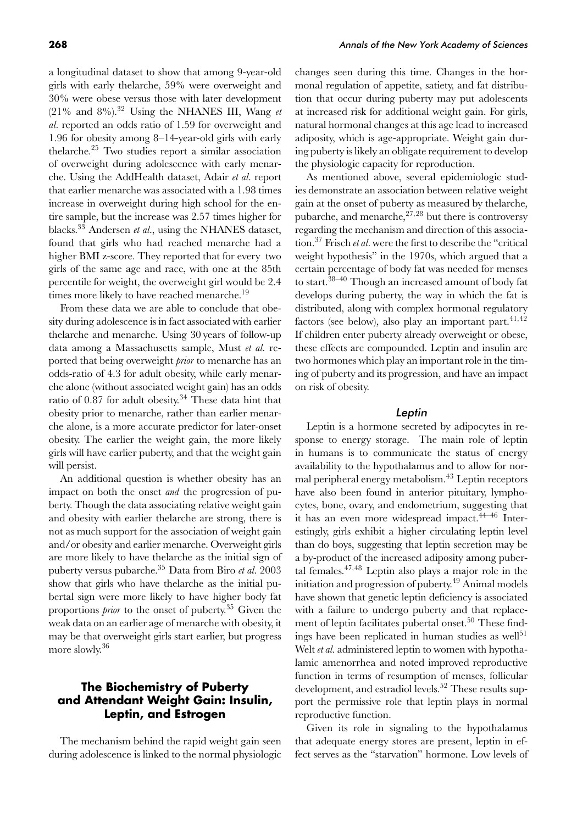a longitudinal dataset to show that among 9-year-old girls with early thelarche, 59% were overweight and 30% were obese versus those with later development  $(21\%$  and  $8\%$ ).<sup>32</sup> Using the NHANES III, Wang *et al.* reported an odds ratio of 1.59 for overweight and 1.96 for obesity among 8–14-year-old girls with early thelarche.<sup>25</sup> Two studies report a similar association of overweight during adolescence with early menarche. Using the AddHealth dataset, Adair *et al.* report that earlier menarche was associated with a 1.98 times increase in overweight during high school for the entire sample, but the increase was 2.57 times higher for blacks.<sup>33</sup> Andersen *et al.*, using the NHANES dataset, found that girls who had reached menarche had a higher BMI z-score. They reported that for every two girls of the same age and race, with one at the 85th percentile for weight, the overweight girl would be 2.4 times more likely to have reached menarche.<sup>19</sup>

From these data we are able to conclude that obesity during adolescence is in fact associated with earlier thelarche and menarche. Using 30 years of follow-up data among a Massachusetts sample, Must *et al.* reported that being overweight *prior* to menarche has an odds-ratio of 4.3 for adult obesity, while early menarche alone (without associated weight gain) has an odds ratio of 0.87 for adult obesity.<sup>34</sup> These data hint that obesity prior to menarche, rather than earlier menarche alone, is a more accurate predictor for later-onset obesity. The earlier the weight gain, the more likely girls will have earlier puberty, and that the weight gain will persist.

An additional question is whether obesity has an impact on both the onset *and* the progression of puberty. Though the data associating relative weight gain and obesity with earlier thelarche are strong, there is not as much support for the association of weight gain and/or obesity and earlier menarche. Overweight girls are more likely to have thelarche as the initial sign of puberty versus pubarche.<sup>35</sup> Data from Biro *et al.* 2003 show that girls who have thelarche as the initial pubertal sign were more likely to have higher body fat proportions *prior* to the onset of puberty.<sup>35</sup> Given the weak data on an earlier age of menarche with obesity, it may be that overweight girls start earlier, but progress more slowly.<sup>36</sup>

# **The Biochemistry of Puberty and Attendant Weight Gain: Insulin, Leptin, and Estrogen**

The mechanism behind the rapid weight gain seen during adolescence is linked to the normal physiologic

changes seen during this time. Changes in the hormonal regulation of appetite, satiety, and fat distribution that occur during puberty may put adolescents at increased risk for additional weight gain. For girls, natural hormonal changes at this age lead to increased adiposity, which is age-appropriate. Weight gain during puberty is likely an obligate requirement to develop the physiologic capacity for reproduction.

As mentioned above, several epidemiologic studies demonstrate an association between relative weight gain at the onset of puberty as measured by thelarche, pubarche, and menarche,  $27,28$  but there is controversy regarding the mechanism and direction of this association.<sup>37</sup> Frisch *et al.* were the first to describe the "critical weight hypothesis" in the 1970s, which argued that a certain percentage of body fat was needed for menses to start.38–40 Though an increased amount of body fat develops during puberty, the way in which the fat is distributed, along with complex hormonal regulatory factors (see below), also play an important part.<sup>41,42</sup> If children enter puberty already overweight or obese, these effects are compounded. Leptin and insulin are two hormones which play an important role in the timing of puberty and its progression, and have an impact on risk of obesity.

#### Leptin

Leptin is a hormone secreted by adipocytes in response to energy storage. The main role of leptin in humans is to communicate the status of energy availability to the hypothalamus and to allow for normal peripheral energy metabolism.<sup>43</sup> Leptin receptors have also been found in anterior pituitary, lymphocytes, bone, ovary, and endometrium, suggesting that it has an even more widespread impact. $44-46$  Interestingly, girls exhibit a higher circulating leptin level than do boys, suggesting that leptin secretion may be a by-product of the increased adiposity among pubertal females.47*,*<sup>48</sup> Leptin also plays a major role in the initiation and progression of puberty.49 Animal models have shown that genetic leptin deficiency is associated with a failure to undergo puberty and that replacement of leptin facilitates pubertal onset.<sup>50</sup> These findings have been replicated in human studies as well $51$ Welt *et al.* administered leptin to women with hypothalamic amenorrhea and noted improved reproductive function in terms of resumption of menses, follicular development, and estradiol levels.<sup>52</sup> These results support the permissive role that leptin plays in normal reproductive function.

Given its role in signaling to the hypothalamus that adequate energy stores are present, leptin in effect serves as the "starvation" hormone. Low levels of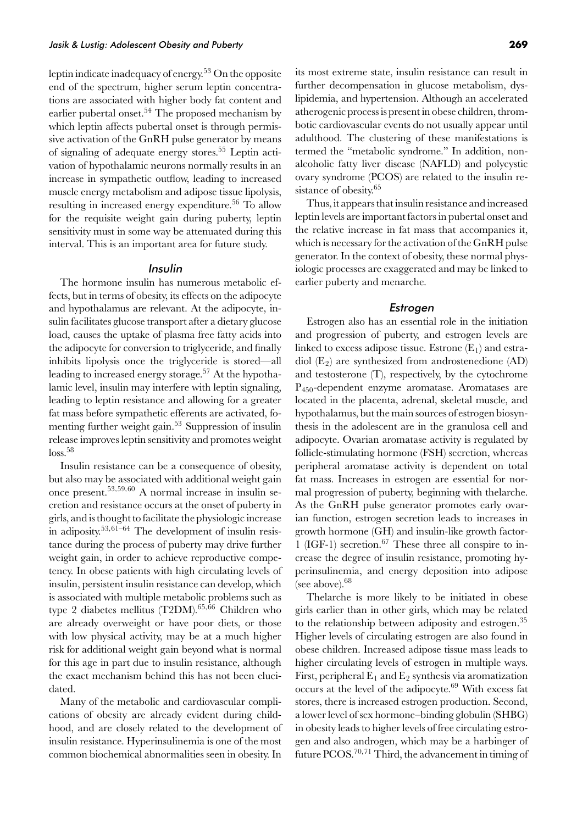leptin indicate inadequacy of energy.<sup>53</sup> On the opposite end of the spectrum, higher serum leptin concentrations are associated with higher body fat content and earlier pubertal onset.<sup>54</sup> The proposed mechanism by which leptin affects pubertal onset is through permissive activation of the GnRH pulse generator by means of signaling of adequate energy stores.<sup>55</sup> Leptin activation of hypothalamic neurons normally results in an increase in sympathetic outflow, leading to increased muscle energy metabolism and adipose tissue lipolysis, resulting in increased energy expenditure.<sup>56</sup> To allow for the requisite weight gain during puberty, leptin sensitivity must in some way be attenuated during this interval. This is an important area for future study.

#### Insulin

The hormone insulin has numerous metabolic effects, but in terms of obesity, its effects on the adipocyte and hypothalamus are relevant. At the adipocyte, insulin facilitates glucose transport after a dietary glucose load, causes the uptake of plasma free fatty acids into the adipocyte for conversion to triglyceride, and finally inhibits lipolysis once the triglyceride is stored—all leading to increased energy storage.<sup>57</sup> At the hypothalamic level, insulin may interfere with leptin signaling, leading to leptin resistance and allowing for a greater fat mass before sympathetic efferents are activated, fomenting further weight gain.<sup>53</sup> Suppression of insulin release improves leptin sensitivity and promotes weight  $loss.<sup>58</sup>$ 

Insulin resistance can be a consequence of obesity, but also may be associated with additional weight gain once present.<sup>53</sup>*,*59*,*<sup>60</sup> A normal increase in insulin secretion and resistance occurs at the onset of puberty in girls, and is thought to facilitate the physiologic increase in adiposity.<sup>53</sup>*,*61–64 The development of insulin resistance during the process of puberty may drive further weight gain, in order to achieve reproductive competency. In obese patients with high circulating levels of insulin, persistent insulin resistance can develop, which is associated with multiple metabolic problems such as type 2 diabetes mellitus (T2DM).<sup>65</sup>*,*<sup>66</sup> Children who are already overweight or have poor diets, or those with low physical activity, may be at a much higher risk for additional weight gain beyond what is normal for this age in part due to insulin resistance, although the exact mechanism behind this has not been elucidated.

Many of the metabolic and cardiovascular complications of obesity are already evident during childhood, and are closely related to the development of insulin resistance. Hyperinsulinemia is one of the most common biochemical abnormalities seen in obesity. In its most extreme state, insulin resistance can result in further decompensation in glucose metabolism, dyslipidemia, and hypertension. Although an accelerated atherogenic process is present in obese children, thrombotic cardiovascular events do not usually appear until adulthood. The clustering of these manifestations is termed the "metabolic syndrome." In addition, nonalcoholic fatty liver disease (NAFLD) and polycystic ovary syndrome (PCOS) are related to the insulin resistance of obesity.<sup>65</sup>

Thus, it appears that insulin resistance and increased leptin levels are important factors in pubertal onset and the relative increase in fat mass that accompanies it, which is necessary for the activation of the GnRH pulse generator. In the context of obesity, these normal physiologic processes are exaggerated and may be linked to earlier puberty and menarche.

#### Estrogen

Estrogen also has an essential role in the initiation and progression of puberty, and estrogen levels are linked to excess adipose tissue. Estrone  $(E_1)$  and estradiol  $(E_2)$  are synthesized from androstenedione  $(AD)$ and testosterone (T), respectively, by the cytochrome P450-dependent enzyme aromatase. Aromatases are located in the placenta, adrenal, skeletal muscle, and hypothalamus, but the main sources of estrogen biosynthesis in the adolescent are in the granulosa cell and adipocyte. Ovarian aromatase activity is regulated by follicle-stimulating hormone (FSH) secretion, whereas peripheral aromatase activity is dependent on total fat mass. Increases in estrogen are essential for normal progression of puberty, beginning with thelarche. As the GnRH pulse generator promotes early ovarian function, estrogen secretion leads to increases in growth hormone (GH) and insulin-like growth factor-1 (IGF-1) secretion.<sup>67</sup> These three all conspire to increase the degree of insulin resistance, promoting hyperinsulinemia, and energy deposition into adipose (see above). $68$ 

Thelarche is more likely to be initiated in obese girls earlier than in other girls, which may be related to the relationship between adiposity and estrogen.<sup>35</sup> Higher levels of circulating estrogen are also found in obese children. Increased adipose tissue mass leads to higher circulating levels of estrogen in multiple ways. First, peripheral  $E_1$  and  $E_2$  synthesis via aromatization occurs at the level of the adipocyte.69 With excess fat stores, there is increased estrogen production. Second, a lower level of sex hormone–binding globulin (SHBG) in obesity leads to higher levels of free circulating estrogen and also androgen, which may be a harbinger of future PCOS.<sup>70</sup>*,*<sup>71</sup> Third, the advancement in timing of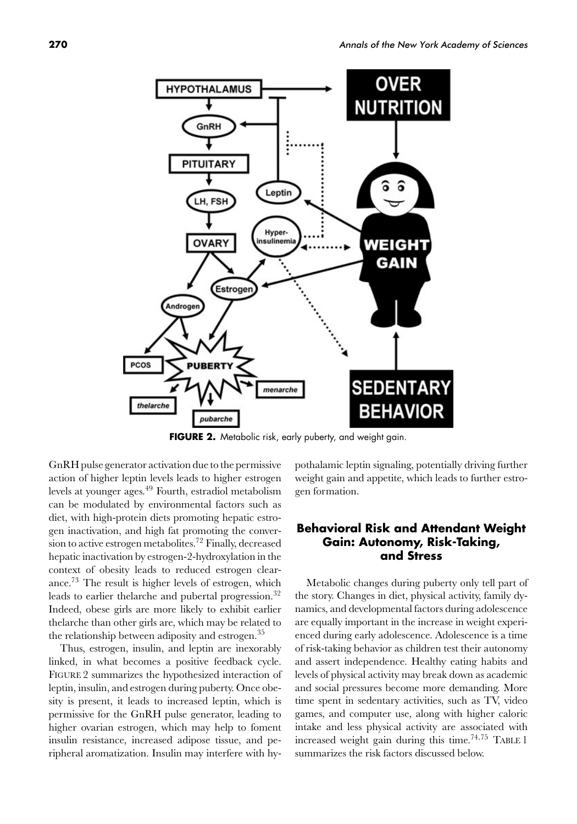

**FIGURE 2.** Metabolic risk, early puberty, and weight gain.

GnRH pulse generator activation due to the permissive action of higher leptin levels leads to higher estrogen levels at younger ages.<sup>49</sup> Fourth, estradiol metabolism can be modulated by environmental factors such as diet, with high-protein diets promoting hepatic estrogen inactivation, and high fat promoting the conversion to active estrogen metabolites.<sup>72</sup> Finally, decreased hepatic inactivation by estrogen-2-hydroxylation in the context of obesity leads to reduced estrogen clearance.<sup>73</sup> The result is higher levels of estrogen, which leads to earlier thelarche and pubertal progression.<sup>32</sup> Indeed, obese girls are more likely to exhibit earlier thelarche than other girls are, which may be related to the relationship between adiposity and estrogen.<sup>35</sup>

Thus, estrogen, insulin, and leptin are inexorably linked, in what becomes a positive feedback cycle. FIGURE 2 summarizes the hypothesized interaction of leptin, insulin, and estrogen during puberty. Once obesity is present, it leads to increased leptin, which is permissive for the GnRH pulse generator, leading to higher ovarian estrogen, which may help to foment insulin resistance, increased adipose tissue, and peripheral aromatization. Insulin may interfere with hypothalamic leptin signaling, potentially driving further weight gain and appetite, which leads to further estrogen formation.

## **Behavioral Risk and Attendant Weight Gain: Autonomy, Risk-Taking, and Stress**

Metabolic changes during puberty only tell part of the story. Changes in diet, physical activity, family dynamics, and developmental factors during adolescence are equally important in the increase in weight experienced during early adolescence. Adolescence is a time of risk-taking behavior as children test their autonomy and assert independence. Healthy eating habits and levels of physical activity may break down as academic and social pressures become more demanding. More time spent in sedentary activities, such as TV, video games, and computer use, along with higher caloric intake and less physical activity are associated with increased weight gain during this time.74*,*<sup>75</sup> TABLE 1 summarizes the risk factors discussed below.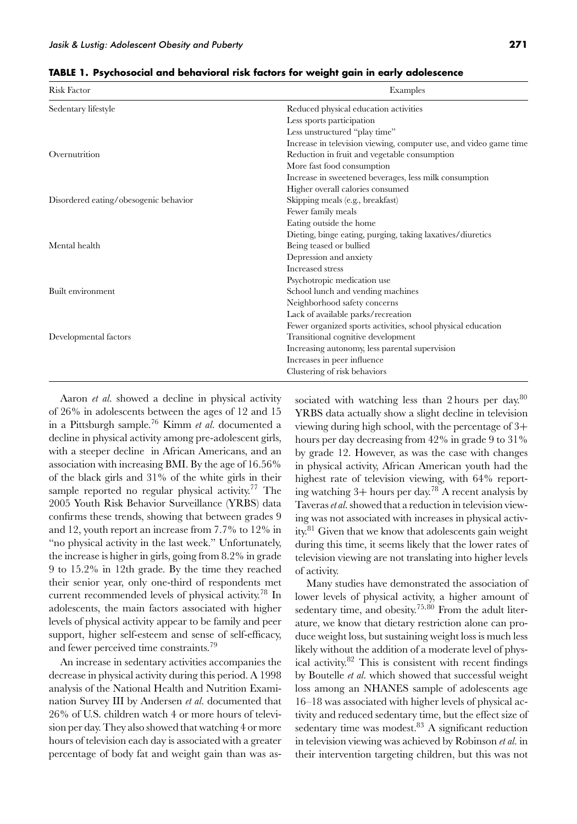| <b>Risk Factor</b>                    | Examples                                                          |
|---------------------------------------|-------------------------------------------------------------------|
| Sedentary lifestyle                   | Reduced physical education activities                             |
|                                       | Less sports participation                                         |
|                                       | Less unstructured "play time"                                     |
|                                       | Increase in television viewing, computer use, and video game time |
| Overnutrition                         | Reduction in fruit and vegetable consumption                      |
|                                       | More fast food consumption                                        |
|                                       | Increase in sweetened beverages, less milk consumption            |
|                                       | Higher overall calories consumed                                  |
| Disordered eating/obesogenic behavior | Skipping meals (e.g., breakfast)                                  |
|                                       | Fewer family meals                                                |
|                                       | Eating outside the home                                           |
|                                       | Dieting, binge eating, purging, taking laxatives/diuretics        |
| Mental health                         | Being teased or bullied                                           |
|                                       | Depression and anxiety                                            |
|                                       | Increased stress                                                  |
|                                       | Psychotropic medication use                                       |
| Built environment                     | School lunch and vending machines                                 |
|                                       | Neighborhood safety concerns                                      |
|                                       | Lack of available parks/recreation                                |
|                                       | Fewer organized sports activities, school physical education      |
| Developmental factors                 | Transitional cognitive development                                |
|                                       | Increasing autonomy, less parental supervision                    |
|                                       | Increases in peer influence                                       |
|                                       | Clustering of risk behaviors                                      |
|                                       |                                                                   |

**TABLE 1. Psychosocial and behavioral risk factors for weight gain in early adolescence**

Aaron *et al.* showed a decline in physical activity of 26% in adolescents between the ages of 12 and 15 in a Pittsburgh sample.<sup>76</sup> Kimm *et al.* documented a decline in physical activity among pre-adolescent girls, with a steeper decline in African Americans, and an association with increasing BMI. By the age of 16.56% of the black girls and 31% of the white girls in their sample reported no regular physical activity.<sup>77</sup> The 2005 Youth Risk Behavior Surveillance (YRBS) data confirms these trends, showing that between grades 9 and 12, youth report an increase from 7.7% to 12% in "no physical activity in the last week." Unfortunately, the increase is higher in girls, going from 8.2% in grade 9 to 15.2% in 12th grade. By the time they reached their senior year, only one-third of respondents met current recommended levels of physical activity.<sup>78</sup> In adolescents, the main factors associated with higher levels of physical activity appear to be family and peer support, higher self-esteem and sense of self-efficacy, and fewer perceived time constraints.<sup>79</sup>

An increase in sedentary activities accompanies the decrease in physical activity during this period. A 1998 analysis of the National Health and Nutrition Examination Survey III by Andersen *et al.* documented that 26% of U.S. children watch 4 or more hours of television per day. They also showed that watching 4 or more hours of television each day is associated with a greater percentage of body fat and weight gain than was associated with watching less than 2 hours per day. $80$ YRBS data actually show a slight decline in television viewing during high school, with the percentage of 3+ hours per day decreasing from 42% in grade 9 to 31% by grade 12. However, as was the case with changes in physical activity, African American youth had the highest rate of television viewing, with 64% reporting watching  $3+$  hours per day.<sup>78</sup> A recent analysis by Taveras*et al.*showed that a reduction in television viewing was not associated with increases in physical activity.<sup>81</sup> Given that we know that adolescents gain weight during this time, it seems likely that the lower rates of television viewing are not translating into higher levels of activity.

Many studies have demonstrated the association of lower levels of physical activity, a higher amount of sedentary time, and obesity.<sup>75</sup>*,*<sup>80</sup> From the adult literature, we know that dietary restriction alone can produce weight loss, but sustaining weight loss is much less likely without the addition of a moderate level of physical activity.<sup>82</sup> This is consistent with recent findings by Boutelle *et al.* which showed that successful weight loss among an NHANES sample of adolescents age 16–18 was associated with higher levels of physical activity and reduced sedentary time, but the effect size of sedentary time was modest. $83$  A significant reduction in television viewing was achieved by Robinson *et al.* in their intervention targeting children, but this was not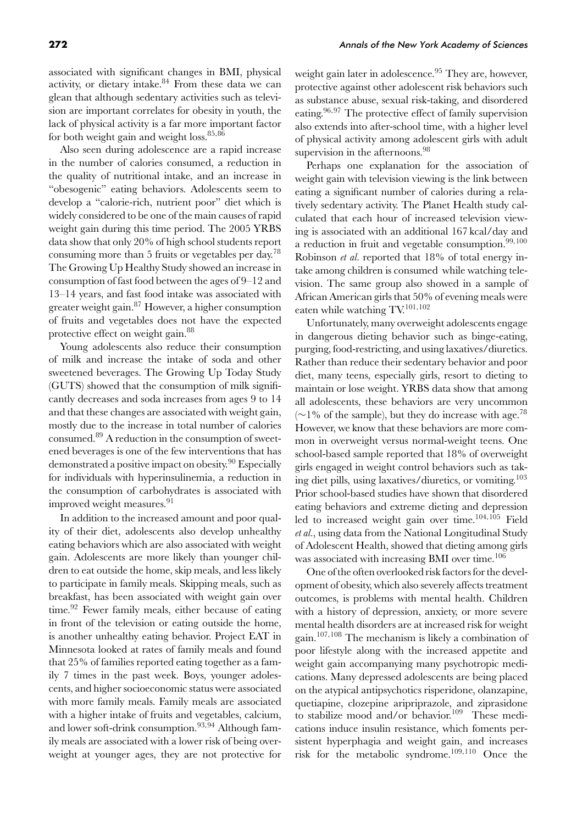associated with significant changes in BMI, physical activity, or dietary intake. $84$  From these data we can glean that although sedentary activities such as television are important correlates for obesity in youth, the lack of physical activity is a far more important factor for both weight gain and weight loss.<sup>85</sup>*,*<sup>86</sup>

Also seen during adolescence are a rapid increase in the number of calories consumed, a reduction in the quality of nutritional intake, and an increase in "obesogenic" eating behaviors. Adolescents seem to develop a "calorie-rich, nutrient poor" diet which is widely considered to be one of the main causes of rapid weight gain during this time period. The 2005 YRBS data show that only 20% of high school students report consuming more than 5 fruits or vegetables per day.78 The Growing Up Healthy Study showed an increase in consumption of fast food between the ages of 9–12 and 13–14 years, and fast food intake was associated with greater weight gain.<sup>87</sup> However, a higher consumption of fruits and vegetables does not have the expected protective effect on weight gain.<sup>88</sup>

Young adolescents also reduce their consumption of milk and increase the intake of soda and other sweetened beverages. The Growing Up Today Study (GUTS) showed that the consumption of milk significantly decreases and soda increases from ages 9 to 14 and that these changes are associated with weight gain, mostly due to the increase in total number of calories consumed.89 A reduction in the consumption of sweetened beverages is one of the few interventions that has demonstrated a positive impact on obesity.<sup>90</sup> Especially for individuals with hyperinsulinemia, a reduction in the consumption of carbohydrates is associated with improved weight measures.<sup>91</sup>

In addition to the increased amount and poor quality of their diet, adolescents also develop unhealthy eating behaviors which are also associated with weight gain. Adolescents are more likely than younger children to eat outside the home, skip meals, and less likely to participate in family meals. Skipping meals, such as breakfast, has been associated with weight gain over time.<sup>92</sup> Fewer family meals, either because of eating in front of the television or eating outside the home, is another unhealthy eating behavior. Project EAT in Minnesota looked at rates of family meals and found that 25% of families reported eating together as a family 7 times in the past week. Boys, younger adolescents, and higher socioeconomic status were associated with more family meals. Family meals are associated with a higher intake of fruits and vegetables, calcium, and lower soft-drink consumption.93*,*<sup>94</sup> Although family meals are associated with a lower risk of being overweight at younger ages, they are not protective for weight gain later in adolescence.<sup>95</sup> They are, however, protective against other adolescent risk behaviors such as substance abuse, sexual risk-taking, and disordered eating.<sup>96</sup>*,*<sup>97</sup> The protective effect of family supervision also extends into after-school time, with a higher level of physical activity among adolescent girls with adult supervision in the afternoons.<sup>98</sup>

Perhaps one explanation for the association of weight gain with television viewing is the link between eating a significant number of calories during a relatively sedentary activity. The Planet Health study calculated that each hour of increased television viewing is associated with an additional 167 kcal/day and a reduction in fruit and vegetable consumption.99*,*<sup>100</sup> Robinson *et al.* reported that 18% of total energy intake among children is consumed while watching television. The same group also showed in a sample of African American girls that 50% of evening meals were eaten while watching TV.<sup>101</sup>*,*<sup>102</sup>

Unfortunately, many overweight adolescents engage in dangerous dieting behavior such as binge-eating, purging, food-restricting, and using laxatives/diuretics. Rather than reduce their sedentary behavior and poor diet, many teens, especially girls, resort to dieting to maintain or lose weight. YRBS data show that among all adolescents, these behaviors are very uncommon (∼1% of the sample), but they do increase with age.<sup>78</sup> However, we know that these behaviors are more common in overweight versus normal-weight teens. One school-based sample reported that 18% of overweight girls engaged in weight control behaviors such as taking diet pills, using laxatives/diuretics, or vomiting.103 Prior school-based studies have shown that disordered eating behaviors and extreme dieting and depression led to increased weight gain over time.<sup>104</sup>*,*<sup>105</sup> Field *et al.*, using data from the National Longitudinal Study of Adolescent Health, showed that dieting among girls was associated with increasing BMI over time.<sup>106</sup>

One of the often overlooked risk factors for the development of obesity, which also severely affects treatment outcomes, is problems with mental health. Children with a history of depression, anxiety, or more severe mental health disorders are at increased risk for weight gain.<sup>107</sup>*,*<sup>108</sup> The mechanism is likely a combination of poor lifestyle along with the increased appetite and weight gain accompanying many psychotropic medications. Many depressed adolescents are being placed on the atypical antipsychotics risperidone, olanzapine, quetiapine, clozepine aripriprazole, and ziprasidone to stabilize mood and/or behavior.<sup>109</sup> These medications induce insulin resistance, which foments persistent hyperphagia and weight gain, and increases risk for the metabolic syndrome.109*,*<sup>110</sup> Once the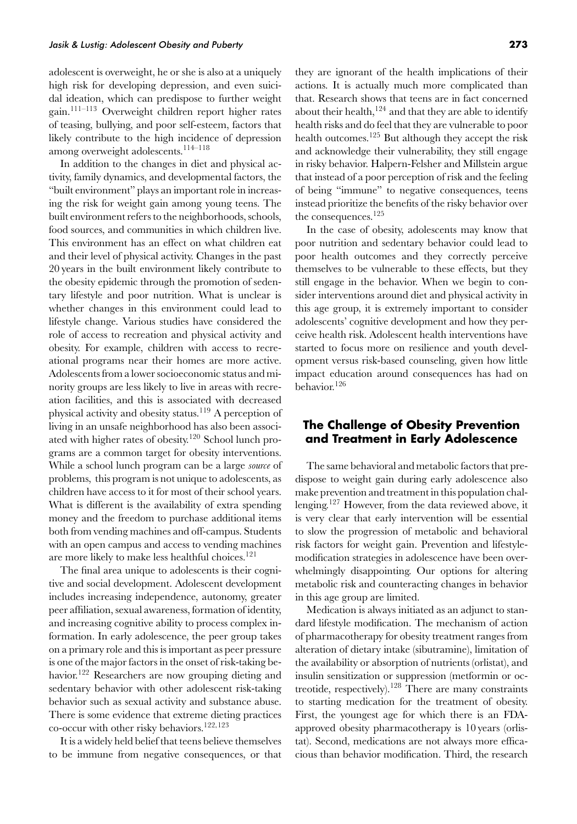adolescent is overweight, he or she is also at a uniquely high risk for developing depression, and even suicidal ideation, which can predispose to further weight gain.111–113 Overweight children report higher rates of teasing, bullying, and poor self-esteem, factors that likely contribute to the high incidence of depression among overweight adolescents.<sup>114–118</sup>

In addition to the changes in diet and physical activity, family dynamics, and developmental factors, the "built environment" plays an important role in increasing the risk for weight gain among young teens. The built environment refers to the neighborhoods, schools, food sources, and communities in which children live. This environment has an effect on what children eat and their level of physical activity. Changes in the past 20 years in the built environment likely contribute to the obesity epidemic through the promotion of sedentary lifestyle and poor nutrition. What is unclear is whether changes in this environment could lead to lifestyle change. Various studies have considered the role of access to recreation and physical activity and obesity. For example, children with access to recreational programs near their homes are more active. Adolescents from a lower socioeconomic status and minority groups are less likely to live in areas with recreation facilities, and this is associated with decreased physical activity and obesity status.<sup>119</sup> A perception of living in an unsafe neighborhood has also been associated with higher rates of obesity.120 School lunch programs are a common target for obesity interventions. While a school lunch program can be a large *source* of problems, this program is not unique to adolescents, as children have access to it for most of their school years. What is different is the availability of extra spending money and the freedom to purchase additional items both from vending machines and off-campus. Students with an open campus and access to vending machines are more likely to make less healthful choices.<sup>121</sup>

The final area unique to adolescents is their cognitive and social development. Adolescent development includes increasing independence, autonomy, greater peer affiliation, sexual awareness, formation of identity, and increasing cognitive ability to process complex information. In early adolescence, the peer group takes on a primary role and this is important as peer pressure is one of the major factors in the onset of risk-taking behavior.<sup>122</sup> Researchers are now grouping dieting and sedentary behavior with other adolescent risk-taking behavior such as sexual activity and substance abuse. There is some evidence that extreme dieting practices co-occur with other risky behaviors.122*,*<sup>123</sup>

It is a widely held belief that teens believe themselves to be immune from negative consequences, or that they are ignorant of the health implications of their actions. It is actually much more complicated than that. Research shows that teens are in fact concerned about their health, $124$  and that they are able to identify health risks and do feel that they are vulnerable to poor health outcomes.125 But although they accept the risk and acknowledge their vulnerability, they still engage in risky behavior. Halpern-Felsher and Millstein argue that instead of a poor perception of risk and the feeling of being "immune" to negative consequences, teens instead prioritize the benefits of the risky behavior over the consequences.<sup>125</sup>

In the case of obesity, adolescents may know that poor nutrition and sedentary behavior could lead to poor health outcomes and they correctly perceive themselves to be vulnerable to these effects, but they still engage in the behavior. When we begin to consider interventions around diet and physical activity in this age group, it is extremely important to consider adolescents' cognitive development and how they perceive health risk. Adolescent health interventions have started to focus more on resilience and youth development versus risk-based counseling, given how little impact education around consequences has had on behavior.<sup>126</sup>

# **The Challenge of Obesity Prevention and Treatment in Early Adolescence**

The same behavioral and metabolic factors that predispose to weight gain during early adolescence also make prevention and treatment in this population challenging.<sup>127</sup> However, from the data reviewed above, it is very clear that early intervention will be essential to slow the progression of metabolic and behavioral risk factors for weight gain. Prevention and lifestylemodification strategies in adolescence have been overwhelmingly disappointing. Our options for altering metabolic risk and counteracting changes in behavior in this age group are limited.

Medication is always initiated as an adjunct to standard lifestyle modification. The mechanism of action of pharmacotherapy for obesity treatment ranges from alteration of dietary intake (sibutramine), limitation of the availability or absorption of nutrients (orlistat), and insulin sensitization or suppression (metformin or octreotide, respectively).<sup>128</sup> There are many constraints to starting medication for the treatment of obesity. First, the youngest age for which there is an FDAapproved obesity pharmacotherapy is 10 years (orlistat). Second, medications are not always more efficacious than behavior modification. Third, the research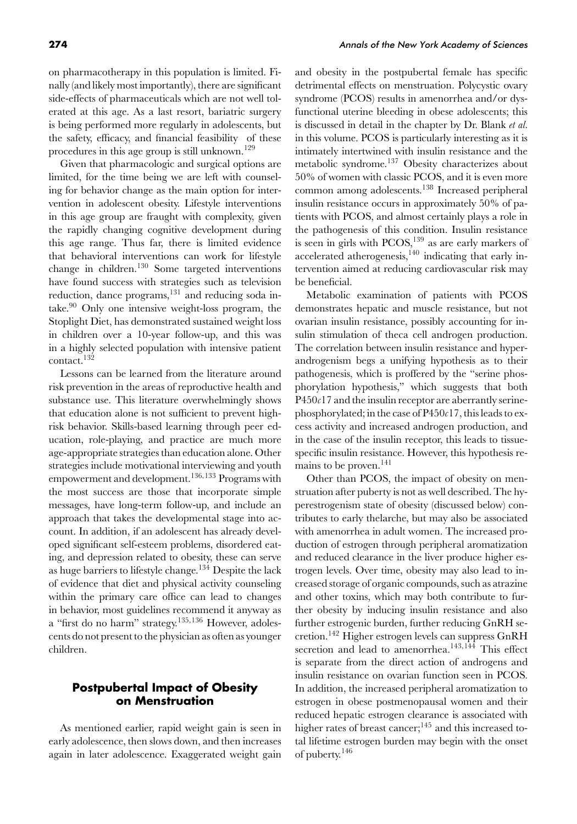on pharmacotherapy in this population is limited. Finally (and likely most importantly), there are significant side-effects of pharmaceuticals which are not well tolerated at this age. As a last resort, bariatric surgery is being performed more regularly in adolescents, but the safety, efficacy, and financial feasibility of these procedures in this age group is still unknown.<sup>129</sup>

Given that pharmacologic and surgical options are limited, for the time being we are left with counseling for behavior change as the main option for intervention in adolescent obesity. Lifestyle interventions in this age group are fraught with complexity, given the rapidly changing cognitive development during this age range. Thus far, there is limited evidence that behavioral interventions can work for lifestyle change in children.<sup>130</sup> Some targeted interventions have found success with strategies such as television reduction, dance programs, $131$  and reducing soda intake.90 Only one intensive weight-loss program, the Stoplight Diet, has demonstrated sustained weight loss in children over a 10-year follow-up, and this was in a highly selected population with intensive patient contact.<sup>132</sup>

Lessons can be learned from the literature around risk prevention in the areas of reproductive health and substance use. This literature overwhelmingly shows that education alone is not sufficient to prevent highrisk behavior. Skills-based learning through peer education, role-playing, and practice are much more age-appropriate strategies than education alone. Other strategies include motivational interviewing and youth empowerment and development.<sup>136</sup>*,*<sup>133</sup> Programs with the most success are those that incorporate simple messages, have long-term follow-up, and include an approach that takes the developmental stage into account. In addition, if an adolescent has already developed significant self-esteem problems, disordered eating, and depression related to obesity, these can serve as huge barriers to lifestyle change.<sup>134</sup> Despite the lack of evidence that diet and physical activity counseling within the primary care office can lead to changes in behavior, most guidelines recommend it anyway as a "first do no harm" strategy.<sup>135</sup>*,*<sup>136</sup> However, adolescents do not present to the physician as often as younger children.

# **Postpubertal Impact of Obesity on Menstruation**

As mentioned earlier, rapid weight gain is seen in early adolescence, then slows down, and then increases again in later adolescence. Exaggerated weight gain

and obesity in the postpubertal female has specific detrimental effects on menstruation. Polycystic ovary syndrome (PCOS) results in amenorrhea and/or dysfunctional uterine bleeding in obese adolescents; this is discussed in detail in the chapter by Dr. Blank *et al.* in this volume. PCOS is particularly interesting as it is intimately intertwined with insulin resistance and the metabolic syndrome.<sup>137</sup> Obesity characterizes about 50% of women with classic PCOS, and it is even more common among adolescents.<sup>138</sup> Increased peripheral insulin resistance occurs in approximately 50% of patients with PCOS, and almost certainly plays a role in the pathogenesis of this condition. Insulin resistance is seen in girls with  $PCOS$ ,  $^{139}$  as are early markers of accelerated atherogenesis, $140$  indicating that early intervention aimed at reducing cardiovascular risk may be beneficial.

Metabolic examination of patients with PCOS demonstrates hepatic and muscle resistance, but not ovarian insulin resistance, possibly accounting for insulin stimulation of theca cell androgen production. The correlation between insulin resistance and hyperandrogenism begs a unifying hypothesis as to their pathogenesis, which is proffered by the "serine phosphorylation hypothesis," which suggests that both P450*c*17 and the insulin receptor are aberrantly serinephosphorylated; in the case of P450*c*17, this leads to excess activity and increased androgen production, and in the case of the insulin receptor, this leads to tissuespecific insulin resistance. However, this hypothesis remains to be proven.<sup>141</sup>

Other than PCOS, the impact of obesity on menstruation after puberty is not as well described. The hyperestrogenism state of obesity (discussed below) contributes to early thelarche, but may also be associated with amenorrhea in adult women. The increased production of estrogen through peripheral aromatization and reduced clearance in the liver produce higher estrogen levels. Over time, obesity may also lead to increased storage of organic compounds, such as atrazine and other toxins, which may both contribute to further obesity by inducing insulin resistance and also further estrogenic burden, further reducing GnRH secretion.<sup>142</sup> Higher estrogen levels can suppress GnRH secretion and lead to amenorrhea.<sup>143,144</sup> This effect is separate from the direct action of androgens and insulin resistance on ovarian function seen in PCOS. In addition, the increased peripheral aromatization to estrogen in obese postmenopausal women and their reduced hepatic estrogen clearance is associated with higher rates of breast cancer;<sup>145</sup> and this increased total lifetime estrogen burden may begin with the onset of puberty.<sup>146</sup>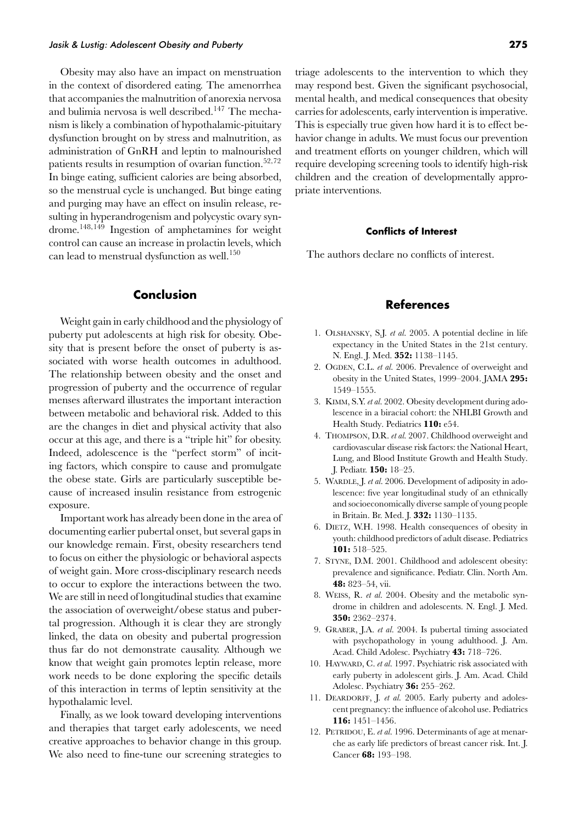Obesity may also have an impact on menstruation in the context of disordered eating. The amenorrhea that accompanies the malnutrition of anorexia nervosa and bulimia nervosa is well described.<sup>147</sup> The mechanism is likely a combination of hypothalamic-pituitary dysfunction brought on by stress and malnutrition, as administration of GnRH and leptin to malnourished patients results in resumption of ovarian function.52*,*<sup>72</sup> In binge eating, sufficient calories are being absorbed, so the menstrual cycle is unchanged. But binge eating and purging may have an effect on insulin release, resulting in hyperandrogenism and polycystic ovary syndrome.<sup>148</sup>*,*<sup>149</sup> Ingestion of amphetamines for weight control can cause an increase in prolactin levels, which can lead to menstrual dysfunction as well.<sup>150</sup>

## **Conclusion**

Weight gain in early childhood and the physiology of puberty put adolescents at high risk for obesity. Obesity that is present before the onset of puberty is associated with worse health outcomes in adulthood. The relationship between obesity and the onset and progression of puberty and the occurrence of regular menses afterward illustrates the important interaction between metabolic and behavioral risk. Added to this are the changes in diet and physical activity that also occur at this age, and there is a "triple hit" for obesity. Indeed, adolescence is the "perfect storm" of inciting factors, which conspire to cause and promulgate the obese state. Girls are particularly susceptible because of increased insulin resistance from estrogenic exposure.

Important work has already been done in the area of documenting earlier pubertal onset, but several gaps in our knowledge remain. First, obesity researchers tend to focus on either the physiologic or behavioral aspects of weight gain. More cross-disciplinary research needs to occur to explore the interactions between the two. We are still in need of longitudinal studies that examine the association of overweight/obese status and pubertal progression. Although it is clear they are strongly linked, the data on obesity and pubertal progression thus far do not demonstrate causality. Although we know that weight gain promotes leptin release, more work needs to be done exploring the specific details of this interaction in terms of leptin sensitivity at the hypothalamic level.

Finally, as we look toward developing interventions and therapies that target early adolescents, we need creative approaches to behavior change in this group. We also need to fine-tune our screening strategies to triage adolescents to the intervention to which they may respond best. Given the significant psychosocial, mental health, and medical consequences that obesity carries for adolescents, early intervention is imperative. This is especially true given how hard it is to effect behavior change in adults. We must focus our prevention and treatment efforts on younger children, which will require developing screening tools to identify high-risk children and the creation of developmentally appropriate interventions.

#### **Conflicts of Interest**

The authors declare no conflicts of interest.

## **References**

- 1. OLSHANSKY, S.J. *et al.* 2005. A potential decline in life expectancy in the United States in the 21st century. N. Engl. J. Med. **352:** 1138–1145.
- 2. OGDEN, C.L. *et al.* 2006. Prevalence of overweight and obesity in the United States, 1999–2004. JAMA **295:** 1549–1555.
- 3. KIMM, S.Y. *et al.* 2002. Obesity development during adolescence in a biracial cohort: the NHLBI Growth and Health Study. Pediatrics **110:** e54.
- 4. THOMPSON, D.R. *et al.* 2007. Childhood overweight and cardiovascular disease risk factors: the National Heart, Lung, and Blood Institute Growth and Health Study. J. Pediatr. **150:** 18–25.
- 5. WARDLE, J. *et al.* 2006. Development of adiposity in adolescence: five year longitudinal study of an ethnically and socioeconomically diverse sample of young people in Britain. Br. Med. J. **332:** 1130–1135.
- 6. DIETZ, W.H. 1998. Health consequences of obesity in youth: childhood predictors of adult disease. Pediatrics **101:** 518–525.
- 7. STYNE, D.M. 2001. Childhood and adolescent obesity: prevalence and significance. Pediatr. Clin. North Am. **48:** 823–54, vii.
- 8. WEISS, R. *et al.* 2004. Obesity and the metabolic syndrome in children and adolescents. N. Engl. J. Med. **350:** 2362–2374.
- 9. GRABER, J.A. *et al.* 2004. Is pubertal timing associated with psychopathology in young adulthood. J. Am. Acad. Child Adolesc. Psychiatry **43:** 718–726.
- 10. HAYWARD, C. *et al.* 1997. Psychiatric risk associated with early puberty in adolescent girls. J. Am. Acad. Child Adolesc. Psychiatry **36:** 255–262.
- 11. DEARDORFF, J. *et al.* 2005. Early puberty and adolescent pregnancy: the influence of alcohol use. Pediatrics **116:** 1451–1456.
- 12. PETRIDOU, E. *et al.* 1996. Determinants of age at menarche as early life predictors of breast cancer risk. Int. J. Cancer **68:** 193–198.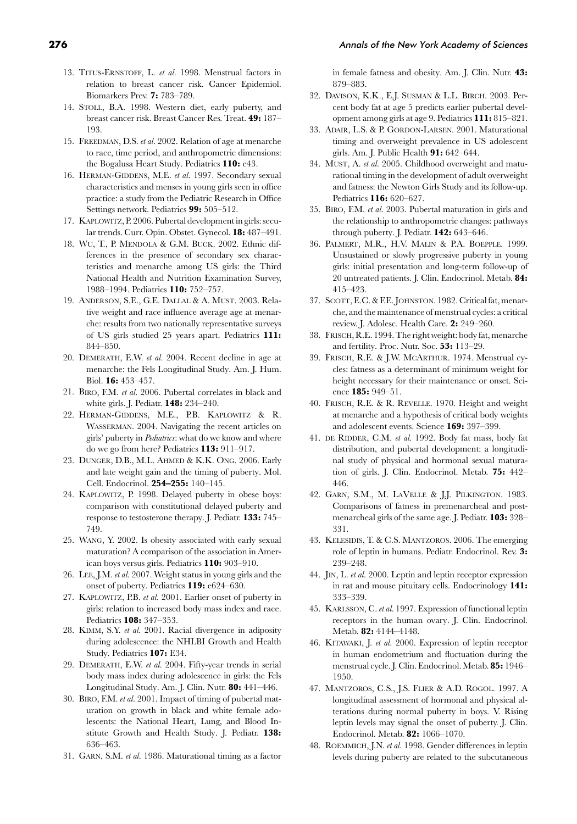- 13. TITUS-ERNSTOFF, L. *et al.* 1998. Menstrual factors in relation to breast cancer risk. Cancer Epidemiol. Biomarkers Prev. **7:** 783–789.
- 14. STOLL, B.A. 1998. Western diet, early puberty, and breast cancer risk. Breast Cancer Res. Treat. **49:** 187– 193.
- 15. FREEDMAN, D.S. *et al.* 2002. Relation of age at menarche to race, time period, and anthropometric dimensions: the Bogalusa Heart Study. Pediatrics **110:** e43.
- 16. HERMAN-GIDDENS, M.E. *et al.* 1997. Secondary sexual characteristics and menses in young girls seen in office practice: a study from the Pediatric Research in Office Settings network. Pediatrics **99:** 505–512.
- 17. KAPLOWITZ, P. 2006. Pubertal development in girls: secular trends. Curr. Opin. Obstet. Gynecol. **18:** 487–491.
- 18. WU, T., P. MENDOLA & G.M. BUCK. 2002. Ethnic differences in the presence of secondary sex characteristics and menarche among US girls: the Third National Health and Nutrition Examination Survey, 1988–1994. Pediatrics **110:** 752–757.
- 19. ANDERSON, S.E., G.E. DALLAL & A. MUST. 2003. Relative weight and race influence average age at menarche: results from two nationally representative surveys of US girls studied 25 years apart. Pediatrics **111:** 844–850.
- 20. DEMERATH, E.W. *et al.* 2004. Recent decline in age at menarche: the Fels Longitudinal Study. Am. J. Hum. Biol. **16:** 453–457.
- 21. BIRO, F.M. *et al.* 2006. Pubertal correlates in black and white girls. J. Pediatr. **148:** 234–240.
- 22. HERMAN-GIDDENS, M.E., P.B. KAPLOWITZ & R. WASSERMAN. 2004. Navigating the recent articles on girls' puberty in *Pediatrics*: what do we know and where do we go from here? Pediatrics **113:** 911–917.
- 23. DUNGER, D.B., M.L. AHMED & K.K. ONG. 2006. Early and late weight gain and the timing of puberty. Mol. Cell. Endocrinol. **254–255:** 140–145.
- 24. KAPLOWITZ, P. 1998. Delayed puberty in obese boys: comparison with constitutional delayed puberty and response to testosterone therapy. J. Pediatr. **133:** 745– 749.
- 25. WANG, Y. 2002. Is obesity associated with early sexual maturation? A comparison of the association in American boys versus girls. Pediatrics **110:** 903–910.
- 26. LEE, J.M. *et al.* 2007. Weight status in young girls and the onset of puberty. Pediatrics **119:** e624–630.
- 27. KAPLOWITZ, P.B. *et al.* 2001. Earlier onset of puberty in girls: relation to increased body mass index and race. Pediatrics **108:** 347–353.
- 28. KIMM, S.Y. *et al.* 2001. Racial divergence in adiposity during adolescence: the NHLBI Growth and Health Study. Pediatrics **107:** E34.
- 29. DEMERATH, E.W. *et al.* 2004. Fifty-year trends in serial body mass index during adolescence in girls: the Fels Longitudinal Study. Am. J. Clin. Nutr. **80:** 441–446.
- 30. BIRO, F.M. *et al.* 2001. Impact of timing of pubertal maturation on growth in black and white female adolescents: the National Heart, Lung, and Blood Institute Growth and Health Study. J. Pediatr. **138:** 636–463.
- 31. GARN, S.M. *et al.* 1986. Maturational timing as a factor

in female fatness and obesity. Am. J. Clin. Nutr. **43:** 879–883.

- 32. DAVISON, K.K., E.J. SUSMAN & L.L. BIRCH. 2003. Percent body fat at age 5 predicts earlier pubertal development among girls at age 9. Pediatrics **111:** 815–821.
- 33. ADAIR, L.S. & P. GORDON-LARSEN. 2001. Maturational timing and overweight prevalence in US adolescent girls. Am. J. Public Health **91:** 642–644.
- 34. MUST, A. *et al.* 2005. Childhood overweight and maturational timing in the development of adult overweight and fatness: the Newton Girls Study and its follow-up. Pediatrics **116:** 620–627.
- 35. BIRO, F.M. *et al.* 2003. Pubertal maturation in girls and the relationship to anthropometric changes: pathways through puberty. J. Pediatr. **142:** 643–646.
- 36. PALMERT, M.R., H.V. MALIN & P.A. BOEPPLE. 1999. Unsustained or slowly progressive puberty in young girls: initial presentation and long-term follow-up of 20 untreated patients. J. Clin. Endocrinol. Metab. **84:** 415–423.
- 37. SCOTT, E.C. & F.E. JOHNSTON. 1982. Critical fat, menarche, and the maintenance of menstrual cycles: a critical review. J. Adolesc. Health Care. **2:** 249–260.
- 38. FRISCH, R.E. 1994. The right weight: body fat, menarche and fertility. Proc. Nutr. Soc. **53:** 113–29.
- 39. FRISCH, R.E. & J.W. MCARTHUR. 1974. Menstrual cycles: fatness as a determinant of minimum weight for height necessary for their maintenance or onset. Science **185:** 949–51.
- 40. FRISCH, R.E. & R. REVELLE. 1970. Height and weight at menarche and a hypothesis of critical body weights and adolescent events. Science **169:** 397–399.
- 41. DE RIDDER, C.M. *et al.* 1992. Body fat mass, body fat distribution, and pubertal development: a longitudinal study of physical and hormonal sexual maturation of girls. J. Clin. Endocrinol. Metab. **75:** 442– 446.
- 42. GARN, S.M., M. LAVELLE & J.J. PILKINGTON. 1983. Comparisons of fatness in premenarcheal and postmenarcheal girls of the same age. J. Pediatr. **103:** 328– 331.
- 43. KELESIDIS, T. & C.S. MANTZOROS. 2006. The emerging role of leptin in humans. Pediatr. Endocrinol. Rev. **3:** 239–248.
- 44. JIN, L. *et al.* 2000. Leptin and leptin receptor expression in rat and mouse pituitary cells. Endocrinology **141:** 333–339.
- 45. KARLSSON, C. *et al.* 1997. Expression of functional leptin receptors in the human ovary. J. Clin. Endocrinol. Metab. **82:** 4144–4148.
- 46. KITAWAKI, J. *et al.* 2000. Expression of leptin receptor in human endometrium and fluctuation during the menstrual cycle. J. Clin. Endocrinol. Metab. **85:** 1946– 1950.
- 47. MANTZOROS, C.S., J.S. FLIER & A.D. ROGOL. 1997. A longitudinal assessment of hormonal and physical alterations during normal puberty in boys. V. Rising leptin levels may signal the onset of puberty. J. Clin. Endocrinol. Metab. **82:** 1066–1070.
- 48. ROEMMICH, J.N. *et al.* 1998. Gender differences in leptin levels during puberty are related to the subcutaneous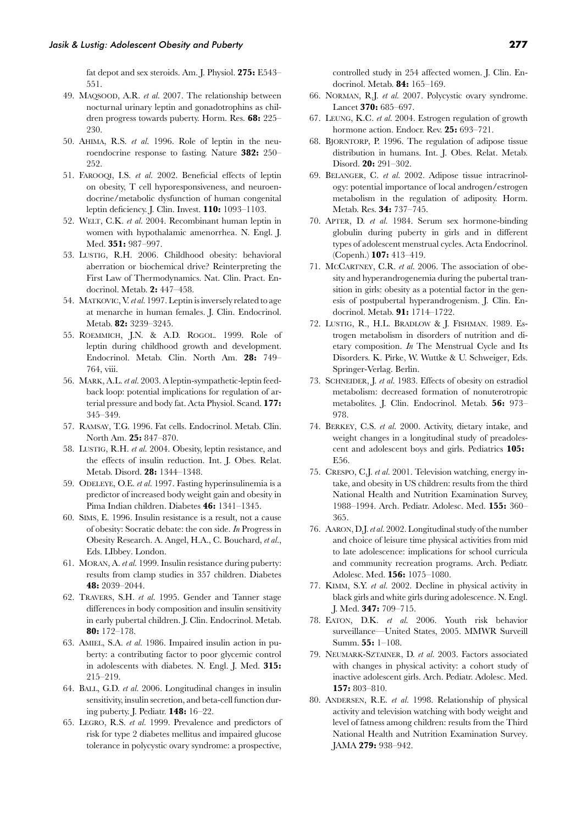fat depot and sex steroids. Am. J. Physiol. **275:** E543– 551.

- 49. MAQSOOD, A.R. *et al.* 2007. The relationship between nocturnal urinary leptin and gonadotrophins as children progress towards puberty. Horm. Res. **68:** 225– 230.
- 50. AHIMA, R.S. *et al.* 1996. Role of leptin in the neuroendocrine response to fasting. Nature **382:** 250– 252.
- 51. FAROOQI, I.S. *et al.* 2002. Beneficial effects of leptin on obesity, T cell hyporesponsiveness, and neuroendocrine/metabolic dysfunction of human congenital leptin deficiency. J. Clin. Invest. **110:** 1093–1103.
- 52. WELT, C.K. *et al.* 2004. Recombinant human leptin in women with hypothalamic amenorrhea. N. Engl. J. Med. **351:** 987–997.
- 53. LUSTIG, R.H. 2006. Childhood obesity: behavioral aberration or biochemical drive? Reinterpreting the First Law of Thermodynamics. Nat. Clin. Pract. Endocrinol. Metab. **2:** 447–458.
- 54. MATKOVIC, V.*et al.* 1997. Leptin is inversely related to age at menarche in human females. J. Clin. Endocrinol. Metab. **82:** 3239–3245.
- 55. ROEMMICH, J.N. & A.D. ROGOL. 1999. Role of leptin during childhood growth and development. Endocrinol. Metab. Clin. North Am. **28:** 749– 764, viii.
- 56. MARK, A.L. *et al.* 2003. A leptin-sympathetic-leptin feedback loop: potential implications for regulation of arterial pressure and body fat. Acta Physiol. Scand. **177:** 345–349.
- 57. RAMSAY, T.G. 1996. Fat cells. Endocrinol. Metab. Clin. North Am. **25:** 847–870.
- 58. LUSTIG, R.H. *et al.* 2004. Obesity, leptin resistance, and the effects of insulin reduction. Int. J. Obes. Relat. Metab. Disord. **28:** 1344–1348.
- 59. ODELEYE, O.E. *et al.* 1997. Fasting hyperinsulinemia is a predictor of increased body weight gain and obesity in Pima Indian children. Diabetes **46:** 1341–1345.
- 60. SIMS, E. 1996. Insulin resistance is a result, not a cause of obesity: Socratic debate: the con side. *In* Progress in Obesity Research. A. Angel, H.A., C. Bouchard, *et al.*, Eds. LIbbey. London.
- 61. MORAN, A. *et al.* 1999. Insulin resistance during puberty: results from clamp studies in 357 children. Diabetes **48:** 2039–2044.
- 62. TRAVERS, S.H. *et al.* 1995. Gender and Tanner stage differences in body composition and insulin sensitivity in early pubertal children. J. Clin. Endocrinol. Metab. **80:** 172–178.
- 63. AMIEL, S.A. *et al.* 1986. Impaired insulin action in puberty: a contributing factor to poor glycemic control in adolescents with diabetes. N. Engl. J. Med. **315:** 215–219.
- 64. BALL, G.D. *et al.* 2006. Longitudinal changes in insulin sensitivity, insulin secretion, and beta-cell function during puberty. J. Pediatr. **148:** 16–22.
- 65. LEGRO, R.S. *et al.* 1999. Prevalence and predictors of risk for type 2 diabetes mellitus and impaired glucose tolerance in polycystic ovary syndrome: a prospective,

controlled study in 254 affected women. J. Clin. Endocrinol. Metab. **84:** 165–169.

- 66. NORMAN, R.J. *et al.* 2007. Polycystic ovary syndrome. Lancet **370:** 685–697.
- 67. LEUNG, K.C. *et al.* 2004. Estrogen regulation of growth hormone action. Endocr. Rev. **25:** 693–721.
- 68. BJORNTORP, P. 1996. The regulation of adipose tissue distribution in humans. Int. J. Obes. Relat. Metab. Disord. **20:** 291–302.
- 69. BELANGER, C. *et al.* 2002. Adipose tissue intracrinology: potential importance of local androgen/estrogen metabolism in the regulation of adiposity. Horm. Metab. Res. **34:** 737–745.
- 70. APTER, D. *et al.* 1984. Serum sex hormone-binding globulin during puberty in girls and in different types of adolescent menstrual cycles. Acta Endocrinol. (Copenh.) **107:** 413–419.
- 71. MCCARTNEY, C.R. *et al.* 2006. The association of obesity and hyperandrogenemia during the pubertal transition in girls: obesity as a potential factor in the genesis of postpubertal hyperandrogenism. J. Clin. Endocrinol. Metab. **91:** 1714–1722.
- 72. LUSTIG, R., H.L. BRADLOW & J. FISHMAN. 1989. Estrogen metabolism in disorders of nutrition and dietary composition. *In* The Menstrual Cycle and Its Disorders. K. Pirke, W. Wuttke & U. Schweiger, Eds. Springer-Verlag. Berlin.
- 73. SCHNEIDER, J. *et al.* 1983. Effects of obesity on estradiol metabolism: decreased formation of nonuterotropic metabolites. J. Clin. Endocrinol. Metab. **56:** 973– 978.
- 74. BERKEY, C.S. *et al.* 2000. Activity, dietary intake, and weight changes in a longitudinal study of preadolescent and adolescent boys and girls. Pediatrics **105:** E56.
- 75. CRESPO, C.J. *et al.* 2001. Television watching, energy intake, and obesity in US children: results from the third National Health and Nutrition Examination Survey, 1988–1994. Arch. Pediatr. Adolesc. Med. **155:** 360– 365.
- 76. AARON, D.J. *et al.* 2002. Longitudinal study of the number and choice of leisure time physical activities from mid to late adolescence: implications for school curricula and community recreation programs. Arch. Pediatr. Adolesc. Med. **156:** 1075–1080.
- 77. KIMM, S.Y. *et al.* 2002. Decline in physical activity in black girls and white girls during adolescence. N. Engl. J. Med. **347:** 709–715.
- 78. EATON, D.K. *et al.* 2006. Youth risk behavior surveillance—United States, 2005. MMWR Surveill Summ. **55:** 1–108.
- 79. NEUMARK-SZTAINER, D. *et al.* 2003. Factors associated with changes in physical activity: a cohort study of inactive adolescent girls. Arch. Pediatr. Adolesc. Med. **157:** 803–810.
- 80. ANDERSEN, R.E. *et al.* 1998. Relationship of physical activity and television watching with body weight and level of fatness among children: results from the Third National Health and Nutrition Examination Survey. JAMA **279:** 938–942.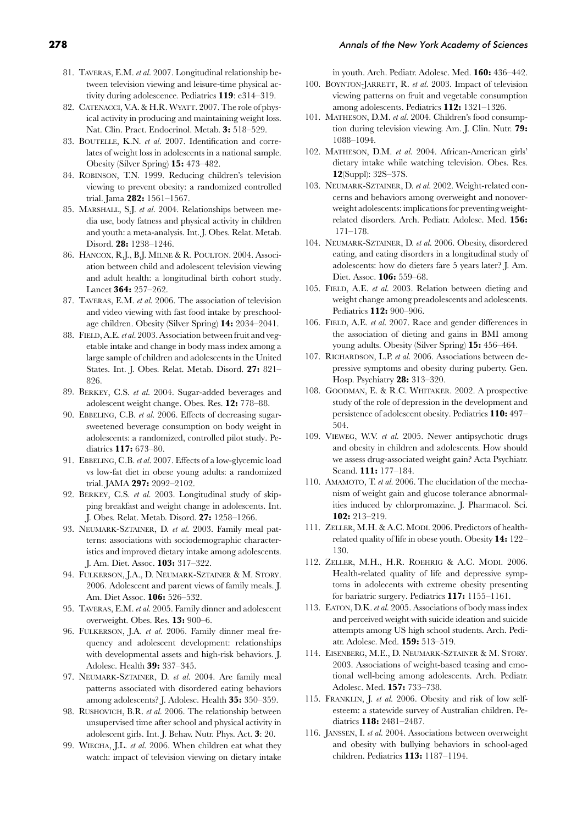#### **278 Annals of the New York Academy of Sciences 278**

- 81. TAVERAS, E.M. *et al.* 2007. Longitudinal relationship between television viewing and leisure-time physical activity during adolescence. Pediatrics **119**: e314–319.
- 82. CATENACCI, V.A. & H.R. WYATT. 2007. The role of physical activity in producing and maintaining weight loss. Nat. Clin. Pract. Endocrinol. Metab. **3:** 518–529.
- 83. BOUTELLE, K.N. *et al.* 2007. Identification and correlates of weight loss in adolescents in a national sample. Obesity (Silver Spring) **15:** 473–482.
- 84. ROBINSON, T.N. 1999. Reducing children's television viewing to prevent obesity: a randomized controlled trial. Jama **282:** 1561–1567.
- 85. MARSHALL, S.J. *et al.* 2004. Relationships between media use, body fatness and physical activity in children and youth: a meta-analysis. Int. J. Obes. Relat. Metab. Disord. **28:** 1238–1246.
- 86. HANCOX, R.J., B.J. MILNE & R. POULTON. 2004. Association between child and adolescent television viewing and adult health: a longitudinal birth cohort study. Lancet **364:** 257–262.
- 87. TAVERAS, E.M. *et al.* 2006. The association of television and video viewing with fast food intake by preschoolage children. Obesity (Silver Spring) **14:** 2034–2041.
- 88. FIELD, A.E. *et al.* 2003. Association between fruit and vegetable intake and change in body mass index among a large sample of children and adolescents in the United States. Int. J. Obes. Relat. Metab. Disord. **27:** 821– 826.
- 89. BERKEY, C.S. *et al.* 2004. Sugar-added beverages and adolescent weight change. Obes. Res. **12:** 778–88.
- 90. EBBELING, C.B. *et al.* 2006. Effects of decreasing sugarsweetened beverage consumption on body weight in adolescents: a randomized, controlled pilot study. Pediatrics **117:** 673–80.
- 91. EBBELING, C.B. *et al.* 2007. Effects of a low-glycemic load vs low-fat diet in obese young adults: a randomized trial. JAMA **297:** 2092–2102.
- 92. BERKEY, C.S. *et al.* 2003. Longitudinal study of skipping breakfast and weight change in adolescents. Int. J. Obes. Relat. Metab. Disord. **27:** 1258–1266.
- 93. NEUMARK-SZTAINER, D. *et al.* 2003. Family meal patterns: associations with sociodemographic characteristics and improved dietary intake among adolescents. J. Am. Diet. Assoc. **103:** 317–322.
- 94. FULKERSON, J.A., D. NEUMARK-SZTAINER & M. STORY. 2006. Adolescent and parent views of family meals. J. Am. Diet Assoc. **106:** 526–532.
- 95. TAVERAS, E.M. *et al.* 2005. Family dinner and adolescent overweight. Obes. Res. **13:** 900–6.
- 96. FULKERSON, J.A. *et al.* 2006. Family dinner meal frequency and adolescent development: relationships with developmental assets and high-risk behaviors. J. Adolesc. Health **39:** 337–345.
- 97. NEUMARK-SZTAINER, D. *et al.* 2004. Are family meal patterns associated with disordered eating behaviors among adolescents? J. Adolesc. Health **35:** 350–359.
- 98. RUSHOVICH, B.R. *et al.* 2006. The relationship between unsupervised time after school and physical activity in adolescent girls. Int. J. Behav. Nutr. Phys. Act. **3**: 20.
- 99. WIECHA, J.L. *et al.* 2006. When children eat what they watch: impact of television viewing on dietary intake

in youth. Arch. Pediatr. Adolesc. Med. **160:** 436–442.

- 100. BOYNTON-JARRETT, R. *et al.* 2003. Impact of television viewing patterns on fruit and vegetable consumption among adolescents. Pediatrics **112:** 1321–1326.
- 101. MATHESON, D.M. *et al.* 2004. Children's food consumption during television viewing. Am. J. Clin. Nutr. **79:** 1088–1094.
- 102. MATHESON, D.M. *et al.* 2004. African-American girls' dietary intake while watching television. Obes. Res. **12**(Suppl): 32S–37S.
- 103. NEUMARK-SZTAINER, D. *et al.* 2002. Weight-related concerns and behaviors among overweight and nonoverweight adolescents: implications for preventing weightrelated disorders. Arch. Pediatr. Adolesc. Med. **156:** 171–178.
- 104. NEUMARK-SZTAINER, D. *et al.* 2006. Obesity, disordered eating, and eating disorders in a longitudinal study of adolescents: how do dieters fare 5 years later? J. Am. Diet. Assoc. **106:** 559–68.
- 105. FIELD, A.E. *et al.* 2003. Relation between dieting and weight change among preadolescents and adolescents. Pediatrics **112:** 900–906.
- 106. FIELD, A.E. *et al.* 2007. Race and gender differences in the association of dieting and gains in BMI among young adults. Obesity (Silver Spring) **15:** 456–464.
- 107. RICHARDSON, L.P. *et al.* 2006. Associations between depressive symptoms and obesity during puberty. Gen. Hosp. Psychiatry **28:** 313–320.
- 108. GOODMAN, E. & R.C. WHITAKER. 2002. A prospective study of the role of depression in the development and persistence of adolescent obesity. Pediatrics **110:** 497– 504.
- 109. VIEWEG, W.V. *et al.* 2005. Newer antipsychotic drugs and obesity in children and adolescents. How should we assess drug-associated weight gain? Acta Psychiatr. Scand. **111:** 177–184.
- 110. AMAMOTO, T. *et al.* 2006. The elucidation of the mechanism of weight gain and glucose tolerance abnormalities induced by chlorpromazine. J. Pharmacol. Sci. **102:** 213–219.
- 111. ZELLER, M.H. & A.C. MODI. 2006. Predictors of healthrelated quality of life in obese youth. Obesity **14:** 122– 130.
- 112. ZELLER, M.H., H.R. ROEHRIG & A.C. MODI. 2006. Health-related quality of life and depressive symptoms in adolecents with extreme obesity presenting for bariatric surgery. Pediatrics **117:** 1155–1161.
- 113. EATON, D.K. *et al.* 2005. Associations of body mass index and perceived weight with suicide ideation and suicide attempts among US high school students. Arch. Pediatr. Adolesc. Med. **159:** 513–519.
- 114. EISENBERG, M.E., D. NEUMARK-SZTAINER & M. STORY. 2003. Associations of weight-based teasing and emotional well-being among adolescents. Arch. Pediatr. Adolesc. Med. **157:** 733–738.
- 115. FRANKLIN, J. *et al.* 2006. Obesity and risk of low selfesteem: a statewide survey of Australian children. Pediatrics **118:** 2481–2487.
- 116. JANSSEN, I. *et al.* 2004. Associations between overweight and obesity with bullying behaviors in school-aged children. Pediatrics **113:** 1187–1194.